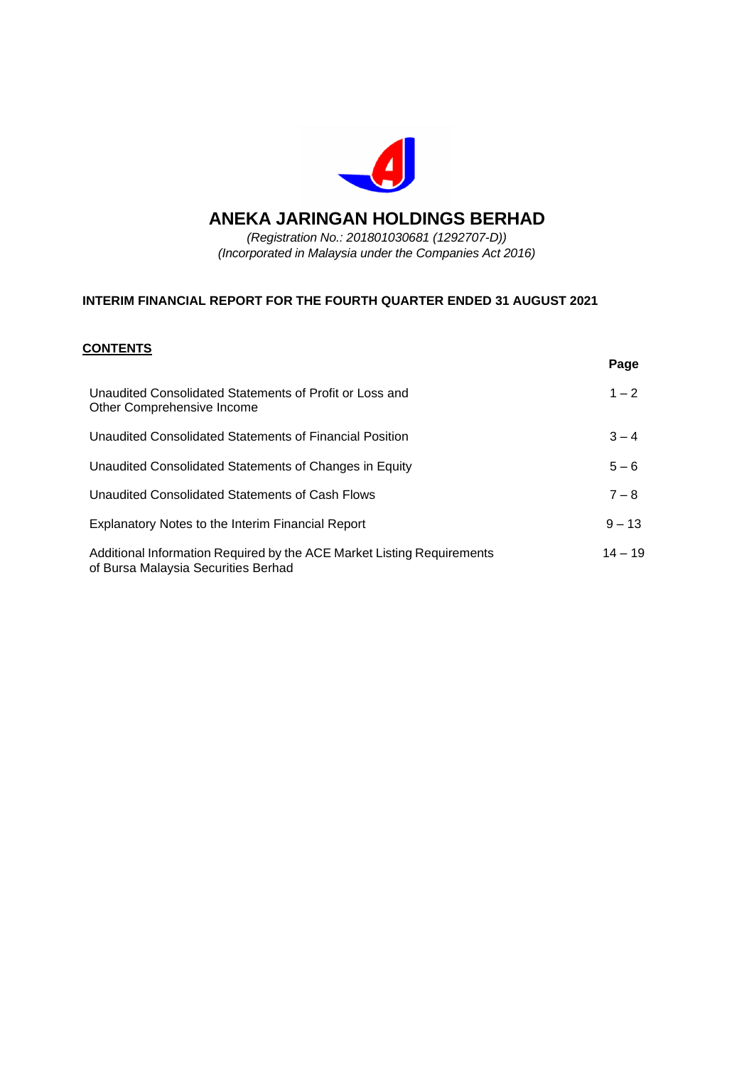

# **ANEKA JARINGAN HOLDINGS BERHAD**

*(Registration No.: 201801030681 (1292707-D)) (Incorporated in Malaysia under the Companies Act 2016)*

# **INTERIM FINANCIAL REPORT FOR THE FOURTH QUARTER ENDED 31 AUGUST 2021**

### **CONTENTS**

|                                                                                                               | Page      |
|---------------------------------------------------------------------------------------------------------------|-----------|
| Unaudited Consolidated Statements of Profit or Loss and<br>Other Comprehensive Income                         | $1 - 2$   |
| Unaudited Consolidated Statements of Financial Position                                                       | $3 - 4$   |
| Unaudited Consolidated Statements of Changes in Equity                                                        | $5 - 6$   |
| Unaudited Consolidated Statements of Cash Flows                                                               | $7 - 8$   |
| Explanatory Notes to the Interim Financial Report                                                             | $9 - 13$  |
| Additional Information Required by the ACE Market Listing Requirements<br>of Bursa Malaysia Securities Berhad | $14 - 19$ |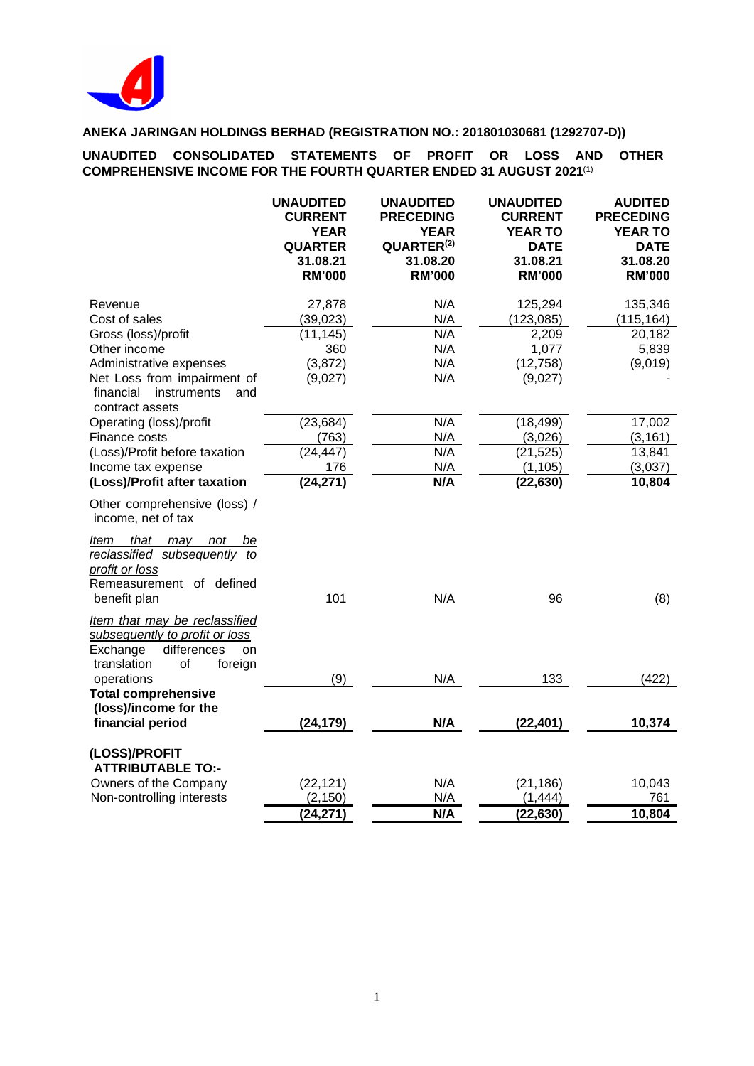

**UNAUDITED CONSOLIDATED STATEMENTS OF PROFIT OR LOSS AND OTHER COMPREHENSIVE INCOME FOR THE FOURTH QUARTER ENDED 31 AUGUST 2021**(1)

|                                                                                                                          | <b>UNAUDITED</b><br><b>CURRENT</b><br><b>YEAR</b><br><b>QUARTER</b><br>31.08.21<br><b>RM'000</b> | <b>UNAUDITED</b><br><b>PRECEDING</b><br><b>YEAR</b><br>QUARTER <sup>(2)</sup><br>31.08.20<br><b>RM'000</b> | <b>UNAUDITED</b><br><b>CURRENT</b><br><b>YEAR TO</b><br><b>DATE</b><br>31.08.21<br><b>RM'000</b> | <b>AUDITED</b><br><b>PRECEDING</b><br><b>YEAR TO</b><br><b>DATE</b><br>31.08.20<br><b>RM'000</b> |
|--------------------------------------------------------------------------------------------------------------------------|--------------------------------------------------------------------------------------------------|------------------------------------------------------------------------------------------------------------|--------------------------------------------------------------------------------------------------|--------------------------------------------------------------------------------------------------|
| Revenue                                                                                                                  | 27,878                                                                                           | N/A                                                                                                        | 125,294                                                                                          | 135,346                                                                                          |
| Cost of sales                                                                                                            | (39, 023)                                                                                        | N/A                                                                                                        | (123, 085)                                                                                       | (115, 164)                                                                                       |
| Gross (loss)/profit                                                                                                      | (11, 145)                                                                                        | N/A                                                                                                        | 2,209                                                                                            | 20,182                                                                                           |
| Other income                                                                                                             | 360                                                                                              | N/A                                                                                                        | 1,077                                                                                            | 5,839                                                                                            |
| Administrative expenses                                                                                                  | (3,872)                                                                                          | N/A                                                                                                        | (12, 758)                                                                                        | (9,019)                                                                                          |
| Net Loss from impairment of<br>financial<br>instruments<br>and<br>contract assets                                        | (9,027)                                                                                          | N/A                                                                                                        | (9,027)                                                                                          |                                                                                                  |
| Operating (loss)/profit                                                                                                  | (23, 684)                                                                                        | N/A                                                                                                        | (18, 499)                                                                                        | 17,002                                                                                           |
| Finance costs                                                                                                            | (763)                                                                                            | N/A                                                                                                        | (3,026)                                                                                          | (3, 161)                                                                                         |
| (Loss)/Profit before taxation                                                                                            | (24, 447)                                                                                        | N/A                                                                                                        | (21, 525)                                                                                        | 13,841                                                                                           |
| Income tax expense                                                                                                       | 176                                                                                              | N/A                                                                                                        | (1, 105)                                                                                         | (3,037)                                                                                          |
| (Loss)/Profit after taxation                                                                                             | (24, 271)                                                                                        | N/A                                                                                                        | (22, 630)                                                                                        | 10,804                                                                                           |
| Other comprehensive (loss) /<br>income, net of tax                                                                       |                                                                                                  |                                                                                                            |                                                                                                  |                                                                                                  |
| Item that may<br>not<br>be<br>reclassified subsequently to<br>profit or loss<br>Remeasurement of defined<br>benefit plan | 101                                                                                              | N/A                                                                                                        | 96                                                                                               | (8)                                                                                              |
| Item that may be reclassified<br>subsequently to profit or loss<br>differences<br>Exchange<br>on                         |                                                                                                  |                                                                                                            |                                                                                                  |                                                                                                  |
| translation<br>of<br>foreign                                                                                             |                                                                                                  |                                                                                                            |                                                                                                  |                                                                                                  |
| operations                                                                                                               | (9)                                                                                              | N/A                                                                                                        | 133                                                                                              | (422)                                                                                            |
| <b>Total comprehensive</b><br>(loss)/income for the<br>financial period                                                  | (24, 179)                                                                                        | N/A                                                                                                        | (22, 401)                                                                                        | 10,374                                                                                           |
| (LOSS)/PROFIT<br><b>ATTRIBUTABLE TO:-</b>                                                                                |                                                                                                  |                                                                                                            |                                                                                                  |                                                                                                  |
| Owners of the Company                                                                                                    | (22, 121)                                                                                        | N/A                                                                                                        | (21, 186)                                                                                        | 10,043                                                                                           |
| Non-controlling interests                                                                                                | (2, 150)                                                                                         | N/A                                                                                                        | (1, 444)                                                                                         | 761                                                                                              |
|                                                                                                                          | (24, 271)                                                                                        | N/A                                                                                                        | (22, 630)                                                                                        | 10,804                                                                                           |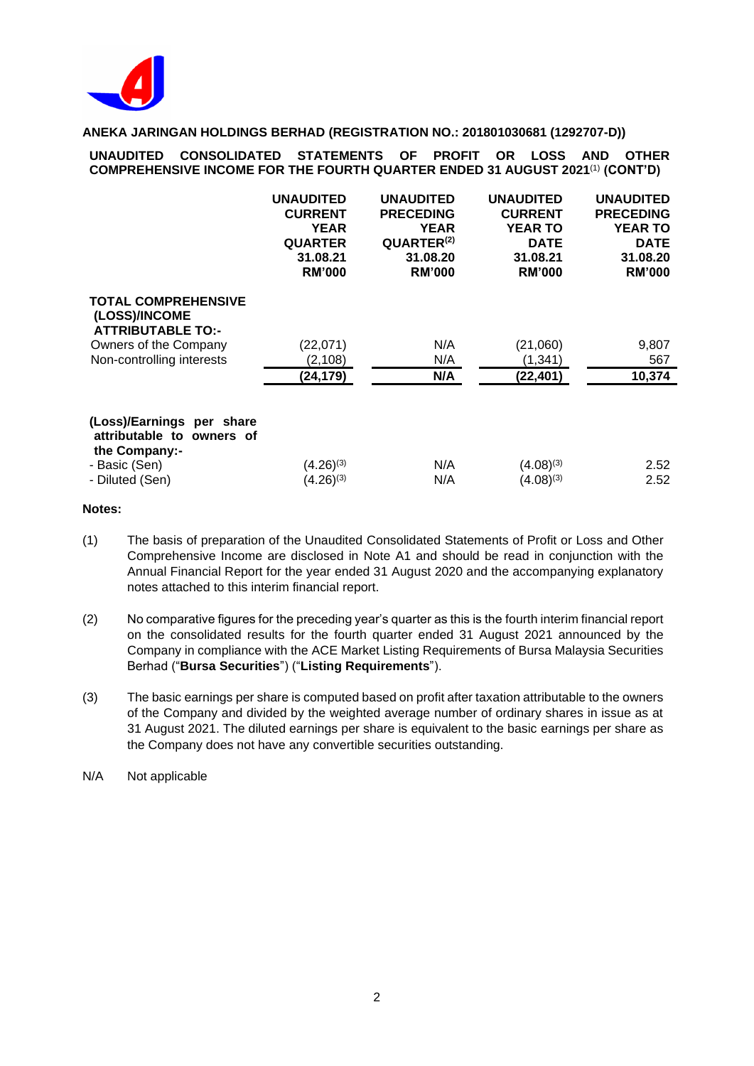

**UNAUDITED CONSOLIDATED STATEMENTS OF PROFIT OR LOSS AND OTHER COMPREHENSIVE INCOME FOR THE FOURTH QUARTER ENDED 31 AUGUST 2021** (1) **(CONT'D)**

|                                                                                          | <b>UNAUDITED</b><br><b>CURRENT</b><br><b>YEAR</b><br><b>QUARTER</b><br>31.08.21<br><b>RM'000</b> | <b>UNAUDITED</b><br><b>PRECEDING</b><br>YEAR<br>QUARTER <sup>(2)</sup><br>31.08.20<br><b>RM'000</b> | <b>UNAUDITED</b><br><b>CURRENT</b><br><b>YEAR TO</b><br><b>DATE</b><br>31.08.21<br><b>RM'000</b> | <b>UNAUDITED</b><br><b>PRECEDING</b><br><b>YEAR TO</b><br><b>DATE</b><br>31.08.20<br><b>RM'000</b> |
|------------------------------------------------------------------------------------------|--------------------------------------------------------------------------------------------------|-----------------------------------------------------------------------------------------------------|--------------------------------------------------------------------------------------------------|----------------------------------------------------------------------------------------------------|
| <b>TOTAL COMPREHENSIVE</b><br>(LOSS)/INCOME<br><b>ATTRIBUTABLE TO:-</b>                  |                                                                                                  |                                                                                                     |                                                                                                  |                                                                                                    |
| Owners of the Company                                                                    | (22,071)                                                                                         | N/A                                                                                                 | (21,060)                                                                                         | 9,807                                                                                              |
| Non-controlling interests                                                                | (2, 108)                                                                                         | N/A                                                                                                 | (1, 341)                                                                                         | 567                                                                                                |
|                                                                                          | (24,179)                                                                                         | N/A                                                                                                 | (22, 401)                                                                                        | 10,374                                                                                             |
| (Loss)/Earnings per share<br>attributable to owners of<br>the Company:-<br>- Basic (Sen) | $(4.26)^{(3)}$                                                                                   | N/A                                                                                                 | $(4.08)^{(3)}$                                                                                   | 2.52                                                                                               |
| - Diluted (Sen)                                                                          | $(4.26)^{(3)}$                                                                                   | N/A                                                                                                 | $(4.08)^{(3)}$                                                                                   | 2.52                                                                                               |

### **Notes:**

- (1) The basis of preparation of the Unaudited Consolidated Statements of Profit or Loss and Other Comprehensive Income are disclosed in Note A1 and should be read in conjunction with the Annual Financial Report for the year ended 31 August 2020 and the accompanying explanatory notes attached to this interim financial report.
- (2) No comparative figures for the preceding year's quarter as this is the fourth interim financial report on the consolidated results for the fourth quarter ended 31 August 2021 announced by the Company in compliance with the ACE Market Listing Requirements of Bursa Malaysia Securities Berhad ("**Bursa Securities**") ("**Listing Requirements**").
- (3) The basic earnings per share is computed based on profit after taxation attributable to the owners of the Company and divided by the weighted average number of ordinary shares in issue as at 31 August 2021. The diluted earnings per share is equivalent to the basic earnings per share as the Company does not have any convertible securities outstanding.

N/A Not applicable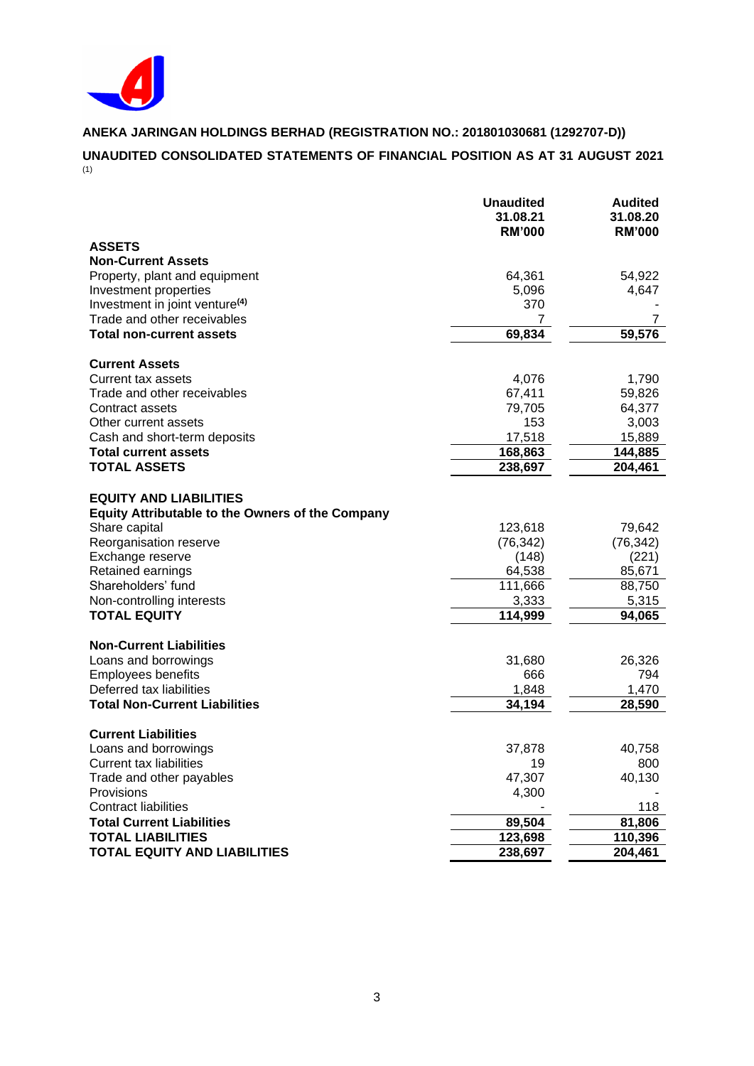

# **ANEKA JARINGAN HOLDINGS BERHAD (REGISTRATION NO.: 201801030681 (1292707-D)) UNAUDITED CONSOLIDATED STATEMENTS OF FINANCIAL POSITION AS AT 31 AUGUST 2021**

 $(1)$ 

|                                                         | <b>Unaudited</b><br>31.08.21<br><b>RM'000</b> | <b>Audited</b><br>31.08.20<br><b>RM'000</b> |
|---------------------------------------------------------|-----------------------------------------------|---------------------------------------------|
| <b>ASSETS</b>                                           |                                               |                                             |
| <b>Non-Current Assets</b>                               |                                               |                                             |
| Property, plant and equipment                           | 64,361                                        | 54,922                                      |
| Investment properties                                   | 5,096                                         | 4,647                                       |
| Investment in joint venture <sup>(4)</sup>              | 370                                           |                                             |
| Trade and other receivables                             | 7                                             | 7                                           |
| <b>Total non-current assets</b>                         | 69,834                                        | 59,576                                      |
| <b>Current Assets</b>                                   |                                               |                                             |
| Current tax assets                                      | 4,076                                         | 1,790                                       |
| Trade and other receivables                             | 67,411                                        | 59,826                                      |
| Contract assets                                         | 79,705                                        | 64,377                                      |
| Other current assets                                    | 153                                           | 3,003                                       |
| Cash and short-term deposits                            | 17,518                                        | 15,889                                      |
| <b>Total current assets</b>                             | 168,863                                       | 144,885                                     |
| <b>TOTAL ASSETS</b>                                     | 238,697                                       | 204,461                                     |
|                                                         |                                               |                                             |
| <b>EQUITY AND LIABILITIES</b>                           |                                               |                                             |
| <b>Equity Attributable to the Owners of the Company</b> |                                               |                                             |
| Share capital                                           | 123,618                                       | 79,642                                      |
| Reorganisation reserve                                  | (76, 342)                                     | (76, 342)                                   |
| Exchange reserve                                        | (148)                                         | (221)                                       |
| Retained earnings<br>Shareholders' fund                 | 64,538<br>111,666                             | 85,671<br>88,750                            |
| Non-controlling interests                               | 3,333                                         | 5,315                                       |
| <b>TOTAL EQUITY</b>                                     | 114,999                                       | 94,065                                      |
|                                                         |                                               |                                             |
| <b>Non-Current Liabilities</b>                          |                                               |                                             |
| Loans and borrowings                                    | 31,680                                        | 26,326                                      |
| <b>Employees benefits</b>                               | 666                                           | 794                                         |
| Deferred tax liabilities                                | 1,848                                         | 1,470                                       |
| <b>Total Non-Current Liabilities</b>                    | 34,194                                        | 28,590                                      |
| <b>Current Liabilities</b>                              |                                               |                                             |
| Loans and borrowings                                    | 37,878                                        | 40,758                                      |
| <b>Current tax liabilities</b>                          | 19                                            | 800                                         |
| Trade and other payables                                | 47,307                                        | 40,130                                      |
| Provisions                                              | 4,300                                         |                                             |
| <b>Contract liabilities</b>                             |                                               | 118                                         |
| <b>Total Current Liabilities</b>                        | 89,504                                        | 81,806                                      |
| <b>TOTAL LIABILITIES</b>                                | 123,698                                       | 110,396                                     |
| <b>TOTAL EQUITY AND LIABILITIES</b>                     | 238,697                                       | 204,461                                     |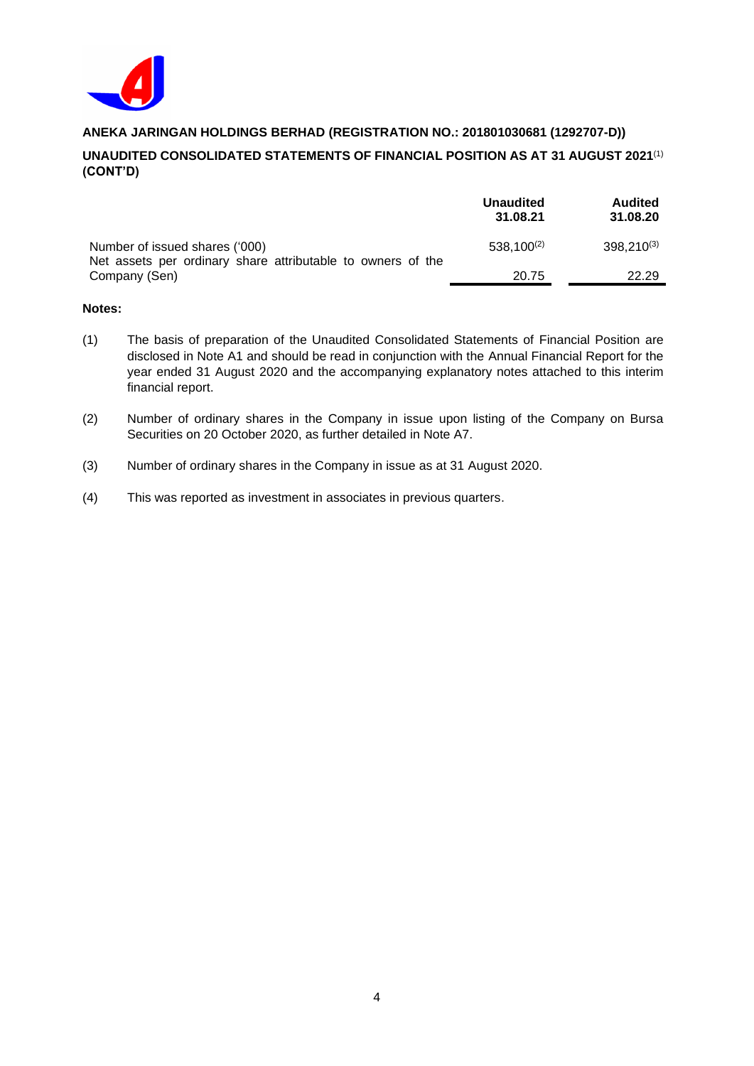

# **UNAUDITED CONSOLIDATED STATEMENTS OF FINANCIAL POSITION AS AT 31 AUGUST 2021** (1) **(CONT'D)**

|                                                                                               | <b>Unaudited</b><br>31.08.21 | <b>Audited</b><br>31.08.20 |
|-----------------------------------------------------------------------------------------------|------------------------------|----------------------------|
| Number of issued shares ('000)<br>Net assets per ordinary share attributable to owners of the | $538,100^{(2)}$              | 398,210(3)                 |
| Company (Sen)                                                                                 | 20.75                        | 22.29                      |

#### **Notes:**

- (1) The basis of preparation of the Unaudited Consolidated Statements of Financial Position are disclosed in Note A1 and should be read in conjunction with the Annual Financial Report for the year ended 31 August 2020 and the accompanying explanatory notes attached to this interim financial report.
- (2) Number of ordinary shares in the Company in issue upon listing of the Company on Bursa Securities on 20 October 2020, as further detailed in Note A7.
- (3) Number of ordinary shares in the Company in issue as at 31 August 2020.
- (4) This was reported as investment in associates in previous quarters.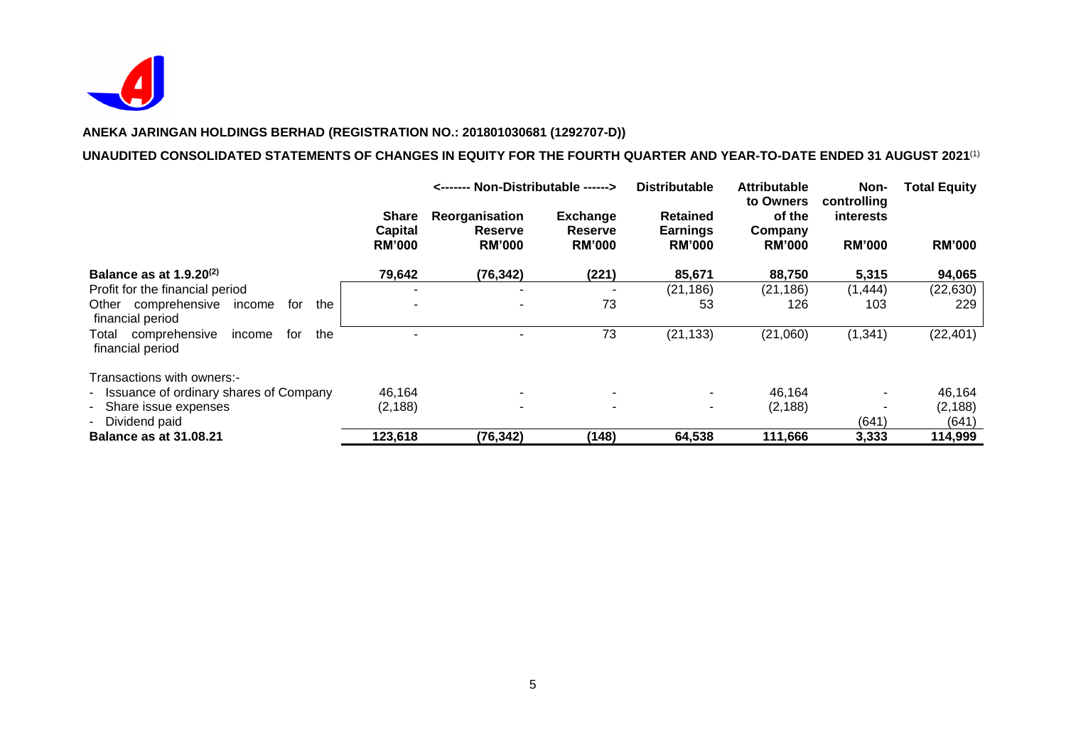

#### **UNAUDITED CONSOLIDATED STATEMENTS OF CHANGES IN EQUITY FOR THE FOURTH QUARTER AND YEAR-TO-DATE ENDED 31 AUGUST 2021** (1)

|                                                                    |                                                 | <------- Non-Distributable ------>                |                                                    | <b>Distributable</b><br><b>Attributable</b><br>to Owners |                                    | Non-<br>controlling               | <b>Total Equity</b> |
|--------------------------------------------------------------------|-------------------------------------------------|---------------------------------------------------|----------------------------------------------------|----------------------------------------------------------|------------------------------------|-----------------------------------|---------------------|
|                                                                    | <b>Share</b><br><b>Capital</b><br><b>RM'000</b> | Reorganisation<br><b>Reserve</b><br><b>RM'000</b> | <b>Exchange</b><br><b>Reserve</b><br><b>RM'000</b> | <b>Retained</b><br><b>Earnings</b><br><b>RM'000</b>      | of the<br>Company<br><b>RM'000</b> | <b>interests</b><br><b>RM'000</b> | <b>RM'000</b>       |
| Balance as at $1.9.20^{(2)}$                                       | 79,642                                          | (76, 342)                                         | (221)                                              | 85,671                                                   | 88,750                             | 5,315                             | 94,065              |
| Profit for the financial period                                    |                                                 |                                                   |                                                    | (21, 186)                                                | (21, 186)                          | (1,444)                           | (22, 630)           |
| comprehensive<br>the<br>Other<br>for<br>income<br>financial period |                                                 |                                                   | 73                                                 | 53                                                       | 126                                | 103                               | 229                 |
| comprehensive<br>the<br>Total<br>income<br>for<br>financial period |                                                 |                                                   | 73                                                 | (21, 133)                                                | (21,060)                           | (1, 341)                          | (22, 401)           |
| Transactions with owners:-                                         |                                                 |                                                   |                                                    |                                                          |                                    |                                   |                     |
| - Issuance of ordinary shares of Company                           | 46,164                                          |                                                   | ۰.                                                 |                                                          | 46,164                             |                                   | 46,164              |
| - Share issue expenses                                             | (2, 188)                                        | ۰                                                 |                                                    |                                                          | (2, 188)                           |                                   | (2, 188)            |
| Dividend paid                                                      |                                                 |                                                   |                                                    |                                                          |                                    | (641)                             | (641)               |
| <b>Balance as at 31.08.21</b>                                      | 123,618                                         | (76, 342)                                         | (148)                                              | 64,538                                                   | 111,666                            | 3,333                             | 114,999             |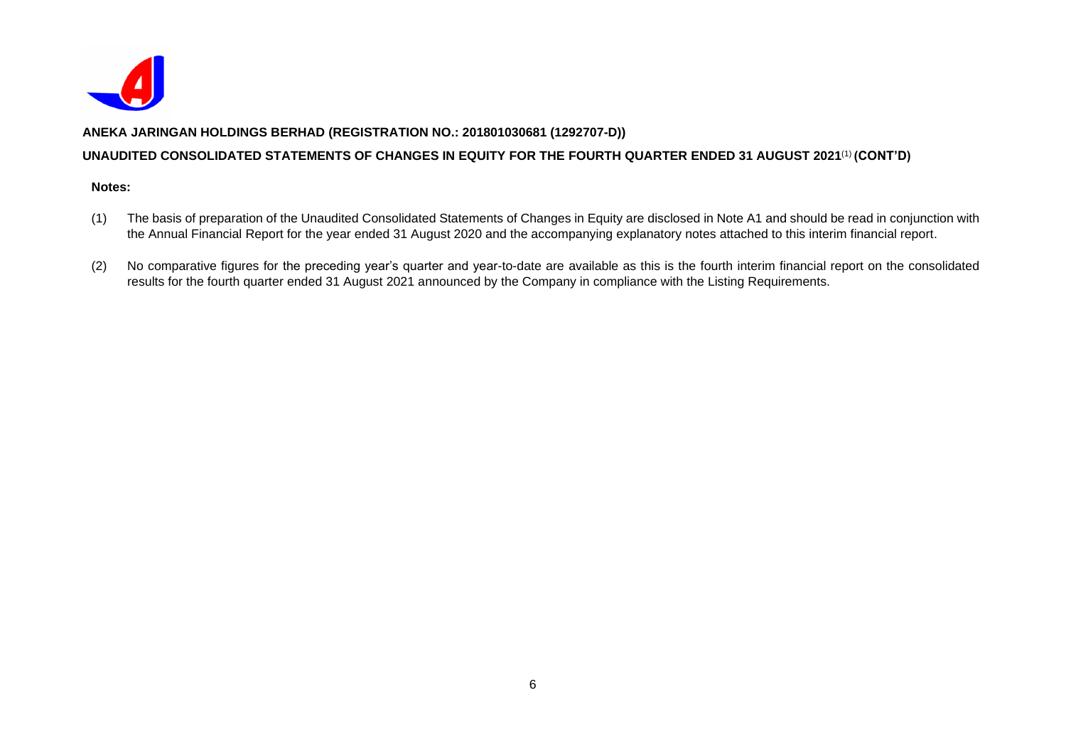

# **UNAUDITED CONSOLIDATED STATEMENTS OF CHANGES IN EQUITY FOR THE FOURTH QUARTER ENDED 31 AUGUST 2021** (1) **(CONT'D)**

#### **Notes:**

- (1) The basis of preparation of the Unaudited Consolidated Statements of Changes in Equity are disclosed in Note A1 and should be read in conjunction with the Annual Financial Report for the year ended 31 August 2020 and the accompanying explanatory notes attached to this interim financial report.
- (2) No comparative figures for the preceding year's quarter and year-to-date are available as this is the fourth interim financial report on the consolidated results for the fourth quarter ended 31 August 2021 announced by the Company in compliance with the Listing Requirements.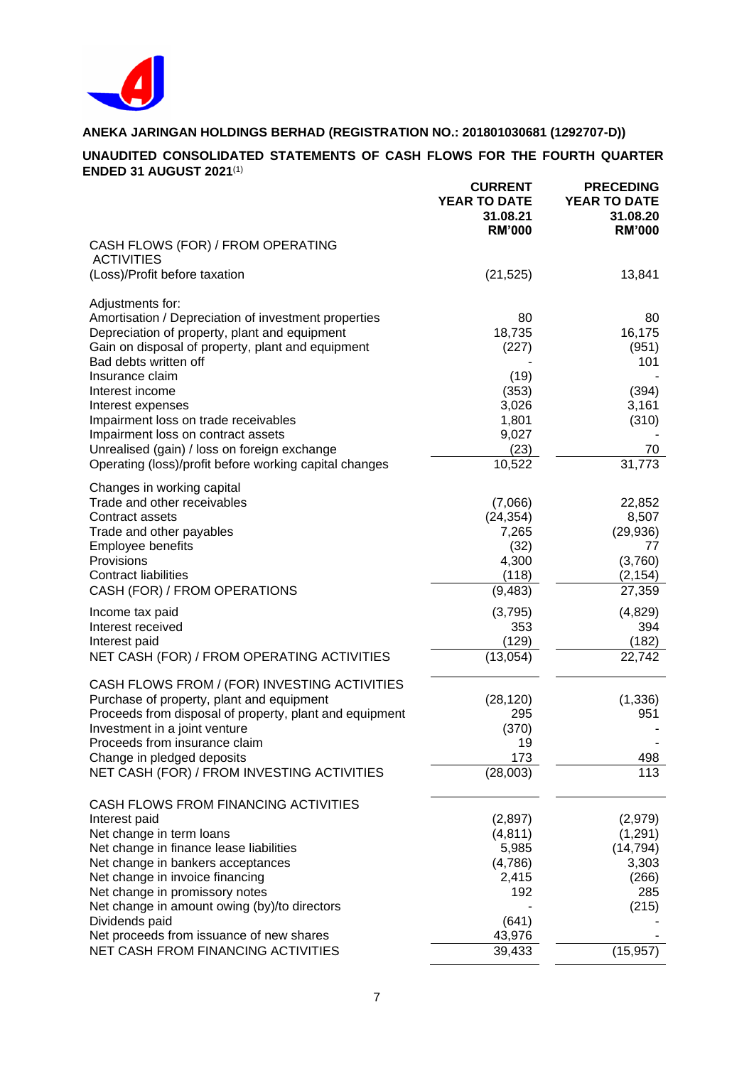

### **UNAUDITED CONSOLIDATED STATEMENTS OF CASH FLOWS FOR THE FOURTH QUARTER ENDED 31 AUGUST 2021** (1)

|                                                                                                       | <b>CURRENT</b><br>YEAR TO DATE<br>31.08.21<br><b>RM'000</b> | <b>PRECEDING</b><br>YEAR TO DATE<br>31.08.20<br><b>RM'000</b> |
|-------------------------------------------------------------------------------------------------------|-------------------------------------------------------------|---------------------------------------------------------------|
| CASH FLOWS (FOR) / FROM OPERATING<br><b>ACTIVITIES</b>                                                |                                                             |                                                               |
| (Loss)/Profit before taxation                                                                         | (21, 525)                                                   | 13,841                                                        |
| Adjustments for:                                                                                      |                                                             |                                                               |
| Amortisation / Depreciation of investment properties<br>Depreciation of property, plant and equipment | 80<br>18,735                                                | 80<br>16,175                                                  |
| Gain on disposal of property, plant and equipment                                                     | (227)                                                       | (951)                                                         |
| Bad debts written off<br>Insurance claim                                                              | (19)                                                        | 101                                                           |
| Interest income                                                                                       | (353)                                                       | (394)                                                         |
| Interest expenses                                                                                     | 3,026                                                       | 3,161                                                         |
| Impairment loss on trade receivables<br>Impairment loss on contract assets                            | 1,801<br>9,027                                              | (310)                                                         |
| Unrealised (gain) / loss on foreign exchange                                                          | (23)                                                        | 70                                                            |
| Operating (loss)/profit before working capital changes                                                | 10,522                                                      | 31,773                                                        |
| Changes in working capital                                                                            |                                                             |                                                               |
| Trade and other receivables                                                                           | (7,066)                                                     | 22,852                                                        |
| Contract assets<br>Trade and other payables                                                           | (24, 354)<br>7,265                                          | 8,507<br>(29, 936)                                            |
| Employee benefits                                                                                     | (32)                                                        | 77                                                            |
| Provisions                                                                                            | 4,300                                                       | (3,760)                                                       |
| <b>Contract liabilities</b><br>CASH (FOR) / FROM OPERATIONS                                           | (118)<br>(9, 483)                                           | (2, 154)<br>27,359                                            |
| Income tax paid                                                                                       | (3,795)                                                     | (4,829)                                                       |
| Interest received                                                                                     | 353                                                         | 394                                                           |
| Interest paid                                                                                         | (129)                                                       | (182)                                                         |
| NET CASH (FOR) / FROM OPERATING ACTIVITIES                                                            | (13,054)                                                    | 22,742                                                        |
| CASH FLOWS FROM / (FOR) INVESTING ACTIVITIES                                                          |                                                             |                                                               |
| Purchase of property, plant and equipment<br>Proceeds from disposal of property, plant and equipment  | (28, 120)<br>295                                            | (1, 336)<br>951                                               |
| Investment in a joint venture                                                                         | (370)                                                       |                                                               |
| Proceeds from insurance claim<br>Change in pledged deposits                                           | 19<br>173                                                   | 498                                                           |
| NET CASH (FOR) / FROM INVESTING ACTIVITIES                                                            | (28,003)                                                    | 113                                                           |
| CASH FLOWS FROM FINANCING ACTIVITIES                                                                  |                                                             |                                                               |
| Interest paid                                                                                         | (2,897)                                                     | (2,979)                                                       |
| Net change in term loans                                                                              | (4, 811)                                                    | (1, 291)                                                      |
| Net change in finance lease liabilities<br>Net change in bankers acceptances                          | 5,985<br>(4,786)                                            | (14, 794)<br>3,303                                            |
| Net change in invoice financing                                                                       | 2,415                                                       | (266)                                                         |
| Net change in promissory notes                                                                        | 192                                                         | 285                                                           |
| Net change in amount owing (by)/to directors<br>Dividends paid                                        | (641)                                                       | (215)                                                         |
| Net proceeds from issuance of new shares                                                              | 43,976                                                      |                                                               |
| NET CASH FROM FINANCING ACTIVITIES                                                                    | 39,433                                                      | (15, 957)                                                     |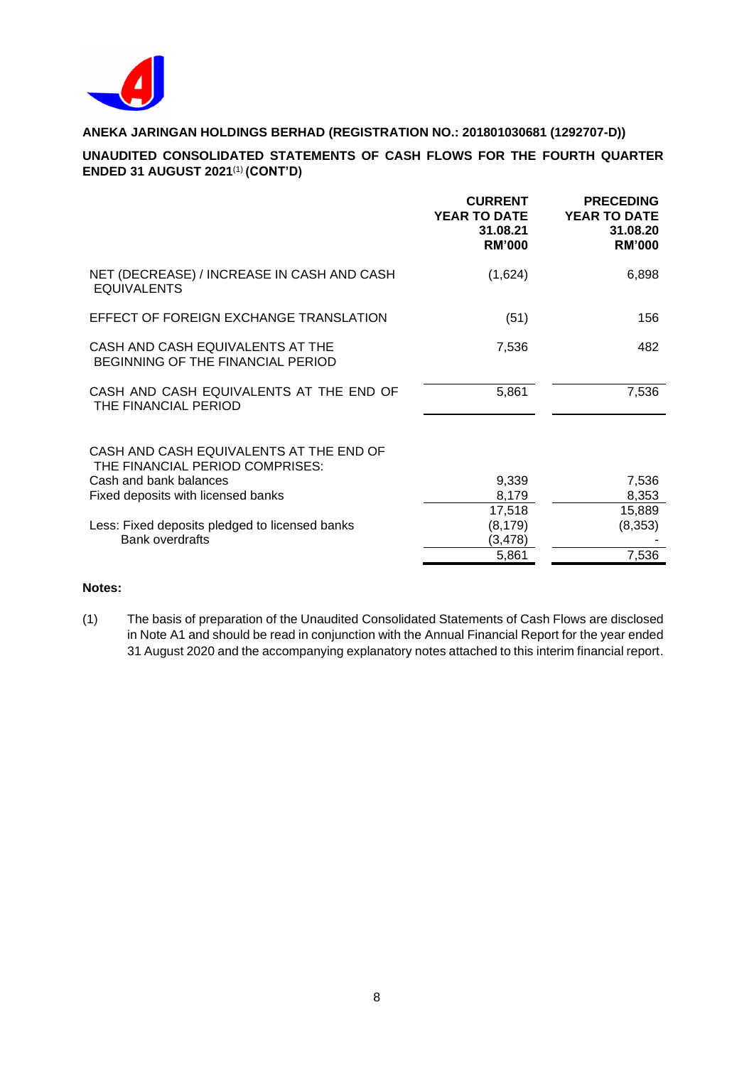

# **UNAUDITED CONSOLIDATED STATEMENTS OF CASH FLOWS FOR THE FOURTH QUARTER ENDED 31 AUGUST 2021** (1) **(CONT'D)**

|                                                                            | <b>CURRENT</b><br><b>YEAR TO DATE</b><br>31.08.21<br><b>RM'000</b> | <b>PRECEDING</b><br><b>YEAR TO DATE</b><br>31.08.20<br><b>RM'000</b> |
|----------------------------------------------------------------------------|--------------------------------------------------------------------|----------------------------------------------------------------------|
| NET (DECREASE) / INCREASE IN CASH AND CASH<br><b>EQUIVALENTS</b>           | (1,624)                                                            | 6,898                                                                |
| EFFECT OF FOREIGN EXCHANGE TRANSLATION                                     | (51)                                                               | 156                                                                  |
| CASH AND CASH EQUIVALENTS AT THE<br>BEGINNING OF THE FINANCIAL PERIOD      | 7,536                                                              | 482                                                                  |
| CASH AND CASH EQUIVALENTS AT THE END OF<br>THE FINANCIAL PERIOD            | 5,861                                                              | 7,536                                                                |
| CASH AND CASH EQUIVALENTS AT THE END OF<br>THE FINANCIAL PERIOD COMPRISES: |                                                                    |                                                                      |
| Cash and bank balances                                                     | 9,339                                                              | 7,536                                                                |
| Fixed deposits with licensed banks                                         | 8,179                                                              | 8,353                                                                |
| Less: Fixed deposits pledged to licensed banks                             | 17,518<br>(8, 179)                                                 | 15,889<br>(8,353)                                                    |
| <b>Bank overdrafts</b>                                                     | (3, 478)                                                           |                                                                      |
|                                                                            | 5,861                                                              | 7,536                                                                |
|                                                                            |                                                                    |                                                                      |

# **Notes:**

(1) The basis of preparation of the Unaudited Consolidated Statements of Cash Flows are disclosed in Note A1 and should be read in conjunction with the Annual Financial Report for the year ended 31 August 2020 and the accompanying explanatory notes attached to this interim financial report.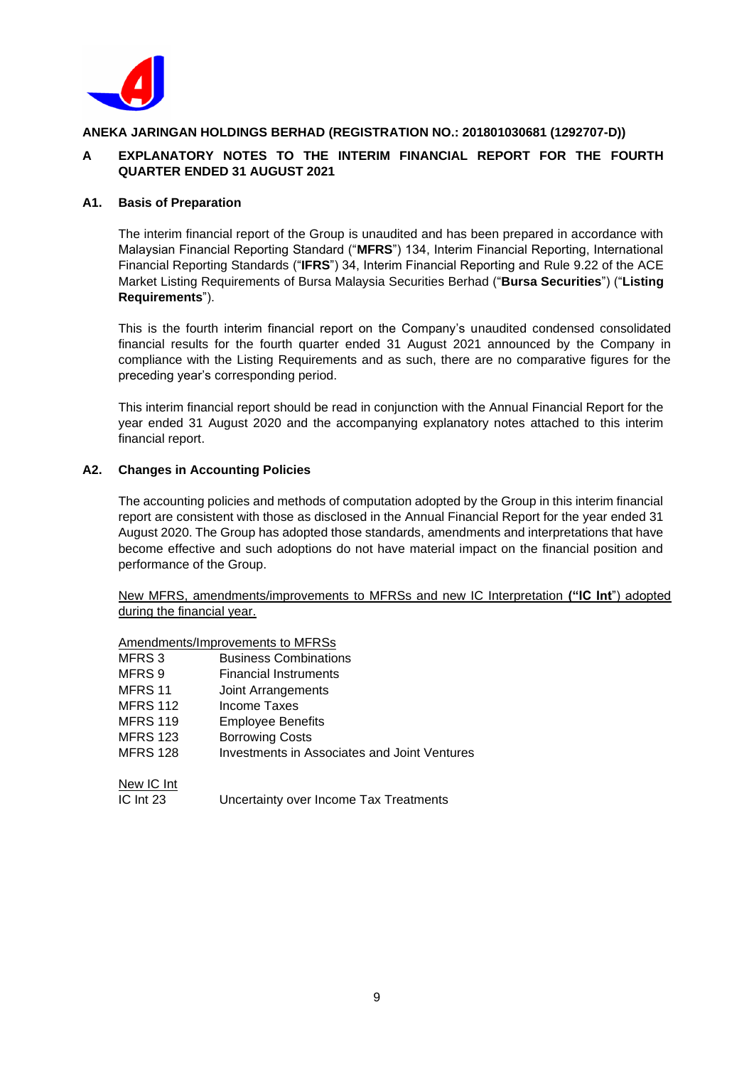

# **A EXPLANATORY NOTES TO THE INTERIM FINANCIAL REPORT FOR THE FOURTH QUARTER ENDED 31 AUGUST 2021**

#### **A1. Basis of Preparation**

The interim financial report of the Group is unaudited and has been prepared in accordance with Malaysian Financial Reporting Standard ("**MFRS**") 134, Interim Financial Reporting, International Financial Reporting Standards ("**IFRS**") 34, Interim Financial Reporting and Rule 9.22 of the ACE Market Listing Requirements of Bursa Malaysia Securities Berhad ("**Bursa Securities**") ("**Listing Requirements**").

This is the fourth interim financial report on the Company's unaudited condensed consolidated financial results for the fourth quarter ended 31 August 2021 announced by the Company in compliance with the Listing Requirements and as such, there are no comparative figures for the preceding year's corresponding period.

This interim financial report should be read in conjunction with the Annual Financial Report for the year ended 31 August 2020 and the accompanying explanatory notes attached to this interim financial report.

#### **A2. Changes in Accounting Policies**

The accounting policies and methods of computation adopted by the Group in this interim financial report are consistent with those as disclosed in the Annual Financial Report for the year ended 31 August 2020. The Group has adopted those standards, amendments and interpretations that have become effective and such adoptions do not have material impact on the financial position and performance of the Group.

New MFRS, amendments/improvements to MFRSs and new IC Interpretation **("IC Int**") adopted during the financial year.

#### Amendments/Improvements to MFRSs

| MFRS <sub>3</sub> | <b>Business Combinations</b>                 |
|-------------------|----------------------------------------------|
| MFRS 9            | Financial Instruments                        |
| MFRS 11           | Joint Arrangements                           |
| <b>MFRS 112</b>   | Income Taxes                                 |
| <b>MFRS 119</b>   | <b>Employee Benefits</b>                     |
| <b>MFRS 123</b>   | <b>Borrowing Costs</b>                       |
| <b>MFRS 128</b>   | Investments in Associates and Joint Ventures |
| New IC Int        |                                              |
| IC Int 23         | Uncertainty over Income Tax Treatments       |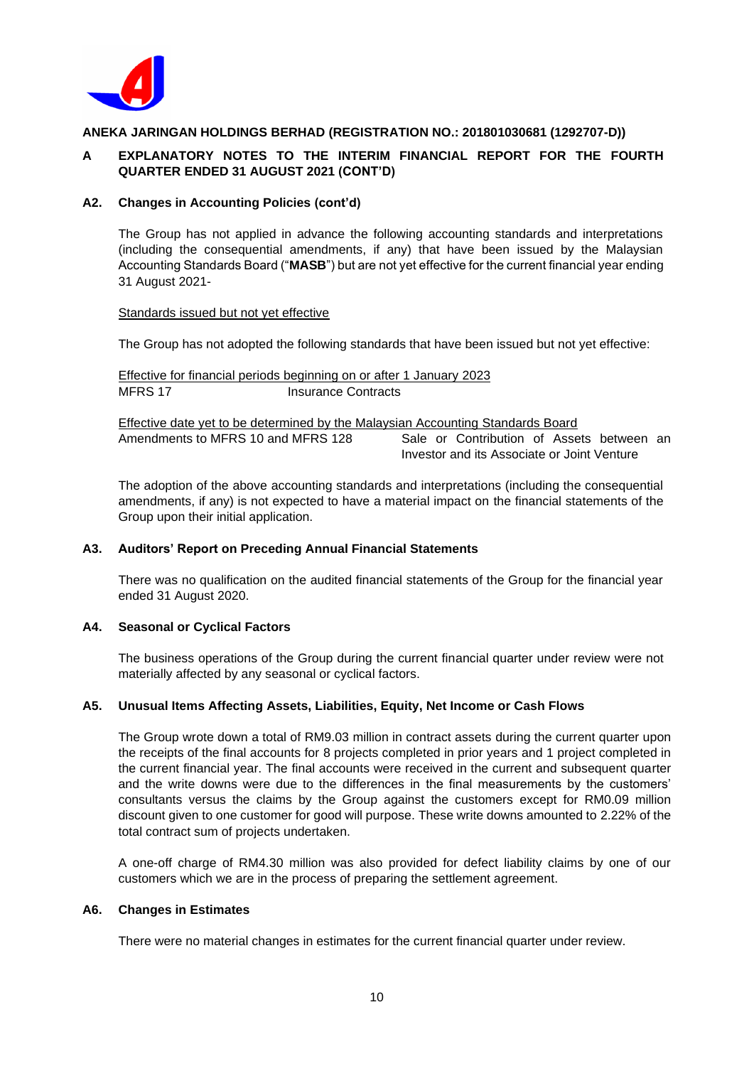

# **A EXPLANATORY NOTES TO THE INTERIM FINANCIAL REPORT FOR THE FOURTH QUARTER ENDED 31 AUGUST 2021 (CONT'D)**

#### **A2. Changes in Accounting Policies (cont'd)**

The Group has not applied in advance the following accounting standards and interpretations (including the consequential amendments, if any) that have been issued by the Malaysian Accounting Standards Board ("**MASB**") but are not yet effective for the current financial year ending 31 August 2021-

Standards issued but not yet effective

The Group has not adopted the following standards that have been issued but not yet effective:

Effective for financial periods beginning on or after 1 January 2023 MFRS 17 Insurance Contracts

Effective date yet to be determined by the Malaysian Accounting Standards Board Amendments to MFRS 10 and MFRS 128 Sale or Contribution of Assets between an Investor and its Associate or Joint Venture

The adoption of the above accounting standards and interpretations (including the consequential amendments, if any) is not expected to have a material impact on the financial statements of the Group upon their initial application.

#### **A3. Auditors' Report on Preceding Annual Financial Statements**

There was no qualification on the audited financial statements of the Group for the financial year ended 31 August 2020.

#### **A4. Seasonal or Cyclical Factors**

The business operations of the Group during the current financial quarter under review were not materially affected by any seasonal or cyclical factors.

#### **A5. Unusual Items Affecting Assets, Liabilities, Equity, Net Income or Cash Flows**

The Group wrote down a total of RM9.03 million in contract assets during the current quarter upon the receipts of the final accounts for 8 projects completed in prior years and 1 project completed in the current financial year. The final accounts were received in the current and subsequent quarter and the write downs were due to the differences in the final measurements by the customers' consultants versus the claims by the Group against the customers except for RM0.09 million discount given to one customer for good will purpose. These write downs amounted to 2.22% of the total contract sum of projects undertaken.

A one-off charge of RM4.30 million was also provided for defect liability claims by one of our customers which we are in the process of preparing the settlement agreement.

#### **A6. Changes in Estimates**

There were no material changes in estimates for the current financial quarter under review.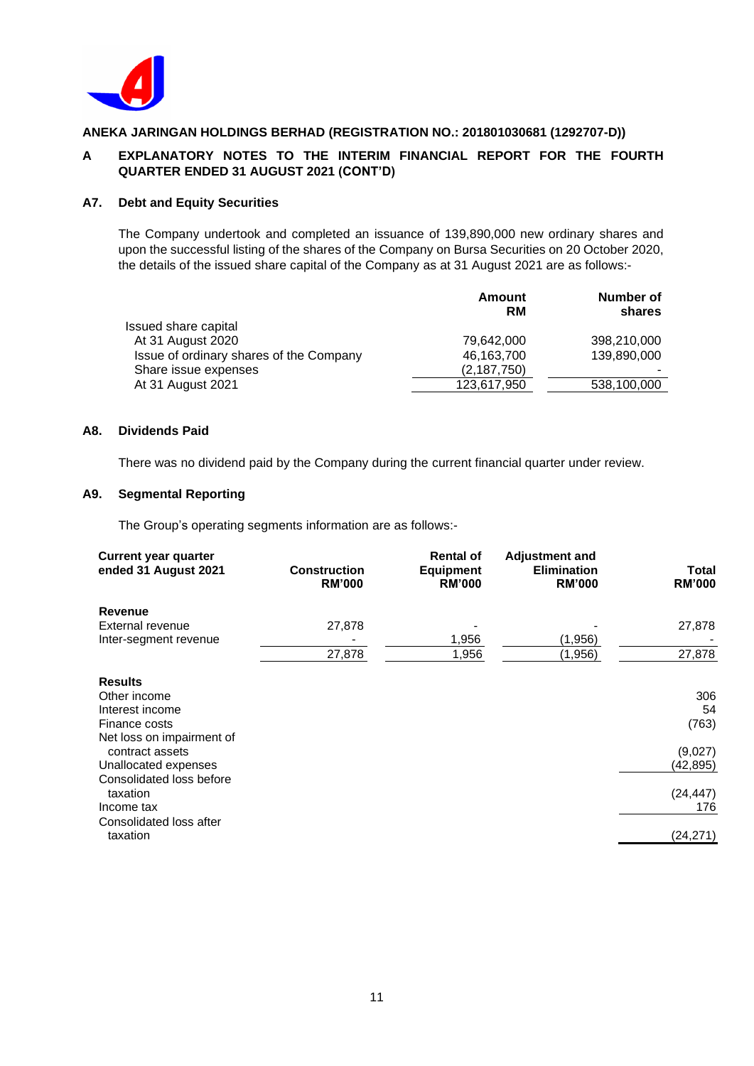

# **A EXPLANATORY NOTES TO THE INTERIM FINANCIAL REPORT FOR THE FOURTH QUARTER ENDED 31 AUGUST 2021 (CONT'D)**

### **A7. Debt and Equity Securities**

The Company undertook and completed an issuance of 139,890,000 new ordinary shares and upon the successful listing of the shares of the Company on Bursa Securities on 20 October 2020, the details of the issued share capital of the Company as at 31 August 2021 are as follows:-

|                                         | Amount<br><b>RM</b> | Number of<br>shares |
|-----------------------------------------|---------------------|---------------------|
| Issued share capital                    |                     |                     |
| At 31 August 2020                       | 79.642.000          | 398,210,000         |
| Issue of ordinary shares of the Company | 46,163,700          | 139,890,000         |
| Share issue expenses                    | (2,187,750)         |                     |
| At 31 August 2021                       | 123,617,950         | 538,100,000         |
|                                         |                     |                     |

#### **A8. Dividends Paid**

There was no dividend paid by the Company during the current financial quarter under review.

# **A9. Segmental Reporting**

The Group's operating segments information are as follows:-

| <b>Current year quarter</b><br>ended 31 August 2021 | <b>Construction</b><br><b>RM'000</b> | <b>Rental of</b><br><b>Equipment</b><br><b>RM'000</b> | <b>Adjustment and</b><br><b>Elimination</b><br><b>RM'000</b> | Total<br><b>RM'000</b> |
|-----------------------------------------------------|--------------------------------------|-------------------------------------------------------|--------------------------------------------------------------|------------------------|
| <b>Revenue</b>                                      |                                      |                                                       |                                                              |                        |
| External revenue                                    | 27,878                               |                                                       |                                                              | 27,878                 |
| Inter-segment revenue                               |                                      | 1,956                                                 | (1,956)                                                      |                        |
|                                                     | 27,878                               | 1,956                                                 | (1, 956)                                                     | 27,878                 |
| <b>Results</b>                                      |                                      |                                                       |                                                              |                        |
| Other income                                        |                                      |                                                       |                                                              | 306                    |
| Interest income                                     |                                      |                                                       |                                                              | 54                     |
| Finance costs                                       |                                      |                                                       |                                                              | (763)                  |
| Net loss on impairment of                           |                                      |                                                       |                                                              |                        |
| contract assets                                     |                                      |                                                       |                                                              | (9,027)                |
| Unallocated expenses                                |                                      |                                                       |                                                              | (42,895)               |
| Consolidated loss before                            |                                      |                                                       |                                                              |                        |
| taxation                                            |                                      |                                                       |                                                              | (24, 447)              |
| Income tax                                          |                                      |                                                       |                                                              | 176                    |
| Consolidated loss after                             |                                      |                                                       |                                                              |                        |
| taxation                                            |                                      |                                                       |                                                              | (24, 271)              |
|                                                     |                                      |                                                       |                                                              |                        |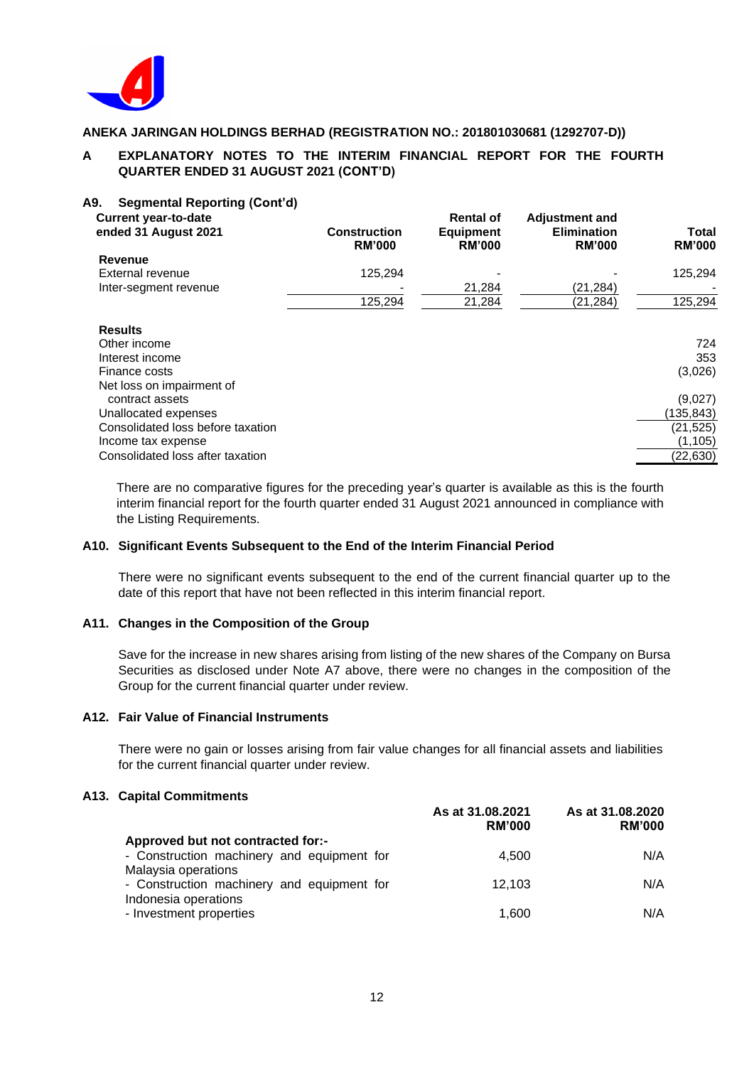

# **A EXPLANATORY NOTES TO THE INTERIM FINANCIAL REPORT FOR THE FOURTH QUARTER ENDED 31 AUGUST 2021 (CONT'D)**

#### **A9. Segmental Reporting (Cont'd)**

| <b>Current year-to-date</b><br>ended 31 August 2021 | <b>Construction</b><br><b>RM'000</b> | <b>Rental of</b><br><b>Equipment</b><br><b>RM'000</b> | <b>Adjustment and</b><br><b>Elimination</b><br><b>RM'000</b> | Total<br><b>RM'000</b> |
|-----------------------------------------------------|--------------------------------------|-------------------------------------------------------|--------------------------------------------------------------|------------------------|
| Revenue                                             |                                      |                                                       |                                                              |                        |
| External revenue                                    | 125.294                              |                                                       |                                                              | 125.294                |
| Inter-segment revenue                               |                                      | 21,284                                                | (21,284)                                                     |                        |
|                                                     | 125,294                              | 21,284                                                | (21, 284)                                                    | 125,294                |
| <b>Results</b>                                      |                                      |                                                       |                                                              |                        |
| Other income                                        |                                      |                                                       |                                                              | 724                    |
| Interest income                                     |                                      |                                                       |                                                              | 353                    |
| Finance costs                                       |                                      |                                                       |                                                              | (3,026)                |
| Net loss on impairment of                           |                                      |                                                       |                                                              |                        |
| contract assets                                     |                                      |                                                       |                                                              | (9,027)                |
| Unallocated expenses                                |                                      |                                                       |                                                              | (135,843)              |
| Consolidated loss before taxation                   |                                      |                                                       |                                                              | (21, 525)              |
| Income tax expense                                  |                                      |                                                       |                                                              | (1, 105)               |
| Consolidated loss after taxation                    |                                      |                                                       |                                                              | (22, 630)              |

There are no comparative figures for the preceding year's quarter is available as this is the fourth interim financial report for the fourth quarter ended 31 August 2021 announced in compliance with the Listing Requirements.

#### **A10. Significant Events Subsequent to the End of the Interim Financial Period**

There were no significant events subsequent to the end of the current financial quarter up to the date of this report that have not been reflected in this interim financial report.

#### **A11. Changes in the Composition of the Group**

Save for the increase in new shares arising from listing of the new shares of the Company on Bursa Securities as disclosed under Note A7 above, there were no changes in the composition of the Group for the current financial quarter under review.

#### **A12. Fair Value of Financial Instruments**

There were no gain or losses arising from fair value changes for all financial assets and liabilities for the current financial quarter under review.

#### **A13. Capital Commitments**

|                                            | As at 31.08.2021<br><b>RM'000</b> | As at 31.08.2020<br><b>RM'000</b> |
|--------------------------------------------|-----------------------------------|-----------------------------------|
| Approved but not contracted for:-          |                                   |                                   |
| - Construction machinery and equipment for | 4.500                             | N/A                               |
| Malaysia operations                        |                                   |                                   |
| - Construction machinery and equipment for | 12.103                            | N/A                               |
| Indonesia operations                       |                                   |                                   |
| - Investment properties                    | 1,600                             | N/A                               |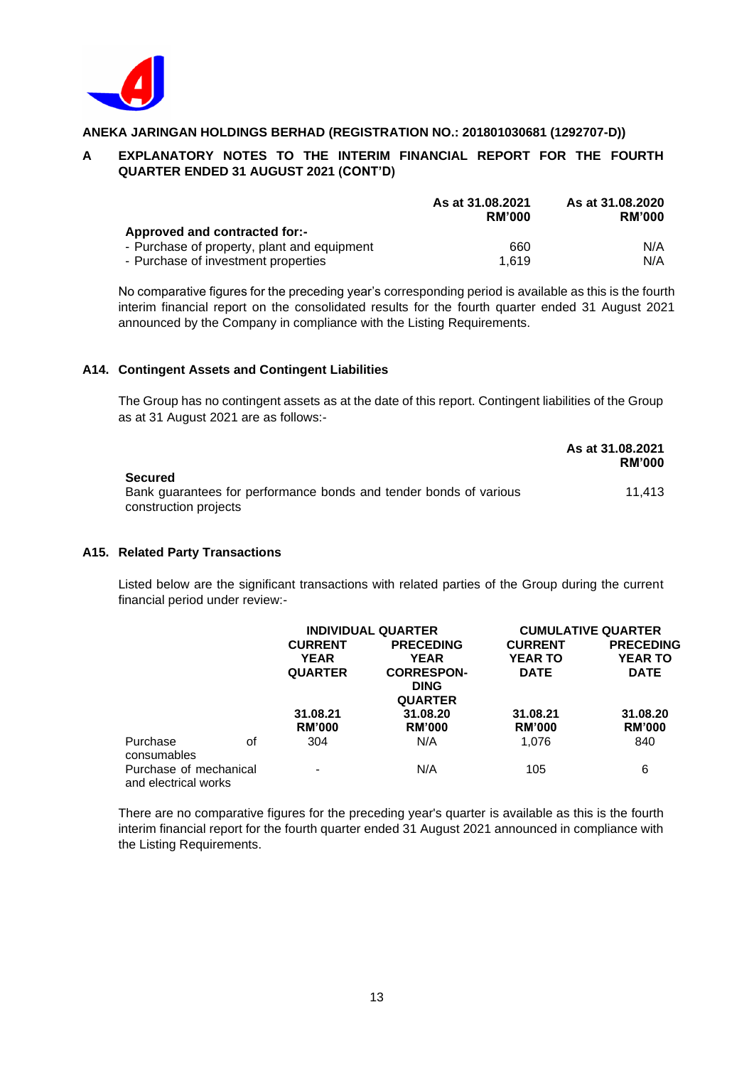

# **A EXPLANATORY NOTES TO THE INTERIM FINANCIAL REPORT FOR THE FOURTH QUARTER ENDED 31 AUGUST 2021 (CONT'D)**

|                                             | As at 31.08.2021<br><b>RM'000</b> | As at 31.08.2020<br><b>RM'000</b> |
|---------------------------------------------|-----------------------------------|-----------------------------------|
| Approved and contracted for:-               |                                   |                                   |
| - Purchase of property, plant and equipment | 660                               | N/A                               |
| - Purchase of investment properties         | 1.619                             | N/A                               |

No comparative figures for the preceding year's corresponding period is available as this is the fourth interim financial report on the consolidated results for the fourth quarter ended 31 August 2021 announced by the Company in compliance with the Listing Requirements.

## **A14. Contingent Assets and Contingent Liabilities**

The Group has no contingent assets as at the date of this report. Contingent liabilities of the Group as at 31 August 2021 are as follows:-

|                                                                                            | As at 31.08.2021<br><b>RM'000</b> |
|--------------------------------------------------------------------------------------------|-----------------------------------|
| <b>Secured</b>                                                                             |                                   |
| Bank guarantees for performance bonds and tender bonds of various<br>construction projects | 11.413                            |

## **A15. Related Party Transactions**

Listed below are the significant transactions with related parties of the Group during the current financial period under review:-

|                                                |    | <b>INDIVIDUAL QUARTER</b> |                   | <b>CUMULATIVE QUARTER</b> |                  |
|------------------------------------------------|----|---------------------------|-------------------|---------------------------|------------------|
|                                                |    | <b>CURRENT</b>            | <b>PRECEDING</b>  | <b>CURRENT</b>            | <b>PRECEDING</b> |
|                                                |    | <b>YEAR</b>               | <b>YEAR</b>       | <b>YEAR TO</b>            | YEAR TO          |
|                                                |    | <b>QUARTER</b>            | <b>CORRESPON-</b> | <b>DATE</b>               | <b>DATE</b>      |
|                                                |    |                           | <b>DING</b>       |                           |                  |
|                                                |    |                           | <b>QUARTER</b>    |                           |                  |
|                                                |    | 31.08.21                  | 31.08.20          | 31.08.21                  | 31.08.20         |
|                                                |    | <b>RM'000</b>             | <b>RM'000</b>     | <b>RM'000</b>             | <b>RM'000</b>    |
| Purchase<br>consumables                        | οf | 304                       | N/A               | 1.076                     | 840              |
| Purchase of mechanical<br>and electrical works |    |                           | N/A               | 105                       | 6                |

There are no comparative figures for the preceding year's quarter is available as this is the fourth interim financial report for the fourth quarter ended 31 August 2021 announced in compliance with the Listing Requirements.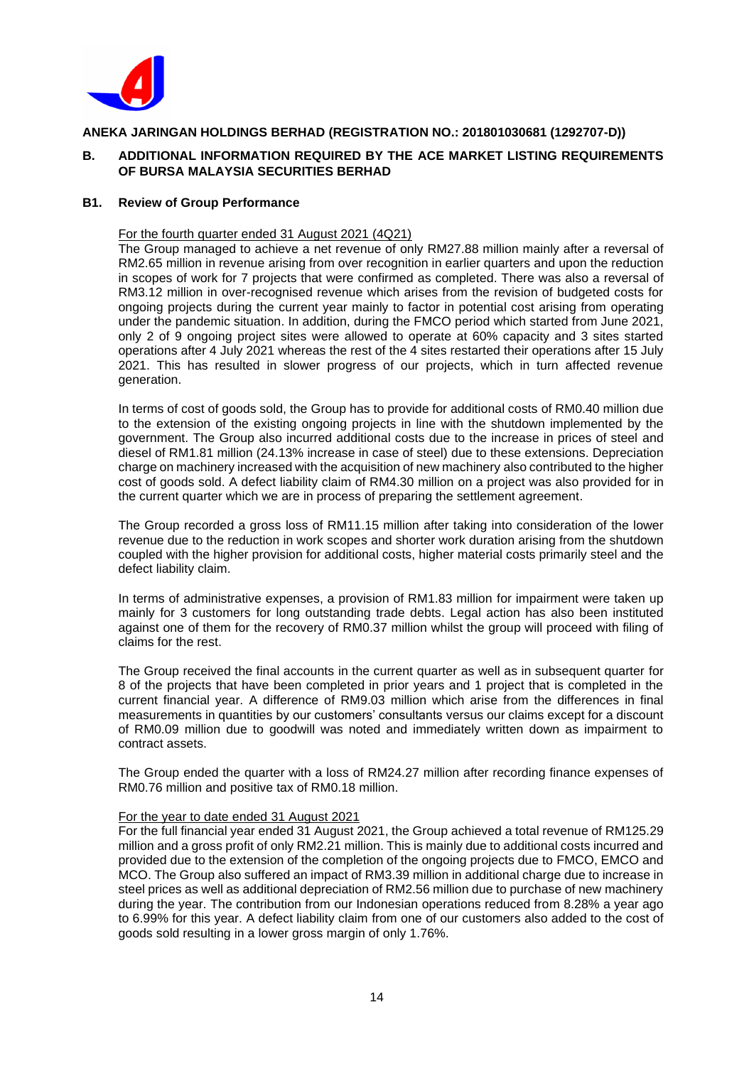

## **B. ADDITIONAL INFORMATION REQUIRED BY THE ACE MARKET LISTING REQUIREMENTS OF BURSA MALAYSIA SECURITIES BERHAD**

#### **B1. Review of Group Performance**

#### For the fourth quarter ended 31 August 2021 (4Q21)

The Group managed to achieve a net revenue of only RM27.88 million mainly after a reversal of RM2.65 million in revenue arising from over recognition in earlier quarters and upon the reduction in scopes of work for 7 projects that were confirmed as completed. There was also a reversal of RM3.12 million in over-recognised revenue which arises from the revision of budgeted costs for ongoing projects during the current year mainly to factor in potential cost arising from operating under the pandemic situation. In addition, during the FMCO period which started from June 2021, only 2 of 9 ongoing project sites were allowed to operate at 60% capacity and 3 sites started operations after 4 July 2021 whereas the rest of the 4 sites restarted their operations after 15 July 2021. This has resulted in slower progress of our projects, which in turn affected revenue generation.

In terms of cost of goods sold, the Group has to provide for additional costs of RM0.40 million due to the extension of the existing ongoing projects in line with the shutdown implemented by the government. The Group also incurred additional costs due to the increase in prices of steel and diesel of RM1.81 million (24.13% increase in case of steel) due to these extensions. Depreciation charge on machinery increased with the acquisition of new machinery also contributed to the higher cost of goods sold. A defect liability claim of RM4.30 million on a project was also provided for in the current quarter which we are in process of preparing the settlement agreement.

The Group recorded a gross loss of RM11.15 million after taking into consideration of the lower revenue due to the reduction in work scopes and shorter work duration arising from the shutdown coupled with the higher provision for additional costs, higher material costs primarily steel and the defect liability claim.

In terms of administrative expenses, a provision of RM1.83 million for impairment were taken up mainly for 3 customers for long outstanding trade debts. Legal action has also been instituted against one of them for the recovery of RM0.37 million whilst the group will proceed with filing of claims for the rest.

The Group received the final accounts in the current quarter as well as in subsequent quarter for 8 of the projects that have been completed in prior years and 1 project that is completed in the current financial year. A difference of RM9.03 million which arise from the differences in final measurements in quantities by our customers' consultants versus our claims except for a discount of RM0.09 million due to goodwill was noted and immediately written down as impairment to contract assets.

The Group ended the quarter with a loss of RM24.27 million after recording finance expenses of RM0.76 million and positive tax of RM0.18 million.

#### For the year to date ended 31 August 2021

For the full financial year ended 31 August 2021, the Group achieved a total revenue of RM125.29 million and a gross profit of only RM2.21 million. This is mainly due to additional costs incurred and provided due to the extension of the completion of the ongoing projects due to FMCO, EMCO and MCO. The Group also suffered an impact of RM3.39 million in additional charge due to increase in steel prices as well as additional depreciation of RM2.56 million due to purchase of new machinery during the year. The contribution from our Indonesian operations reduced from 8.28% a year ago to 6.99% for this year. A defect liability claim from one of our customers also added to the cost of goods sold resulting in a lower gross margin of only 1.76%.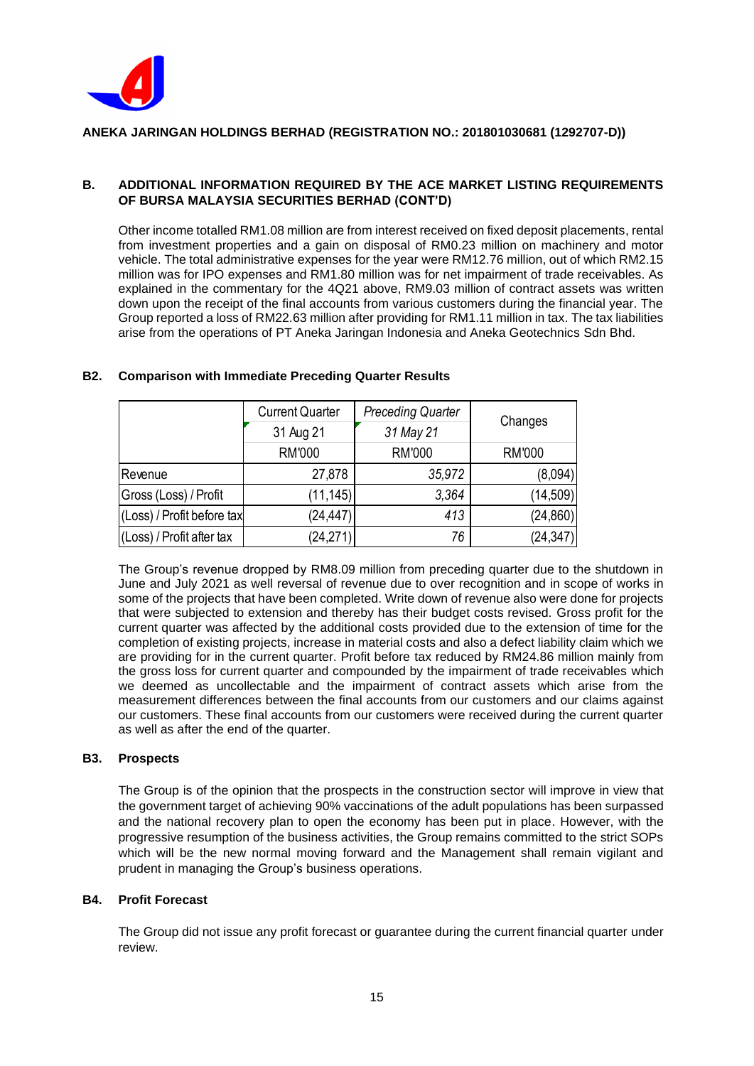

# **B. ADDITIONAL INFORMATION REQUIRED BY THE ACE MARKET LISTING REQUIREMENTS OF BURSA MALAYSIA SECURITIES BERHAD (CONT'D)**

Other income totalled RM1.08 million are from interest received on fixed deposit placements, rental from investment properties and a gain on disposal of RM0.23 million on machinery and motor vehicle. The total administrative expenses for the year were RM12.76 million, out of which RM2.15 million was for IPO expenses and RM1.80 million was for net impairment of trade receivables. As explained in the commentary for the 4Q21 above, RM9.03 million of contract assets was written down upon the receipt of the final accounts from various customers during the financial year. The Group reported a loss of RM22.63 million after providing for RM1.11 million in tax. The tax liabilities arise from the operations of PT Aneka Jaringan Indonesia and Aneka Geotechnics Sdn Bhd.

|                            | <b>Current Quarter</b> | <b>Preceding Quarter</b> | Changes       |  |
|----------------------------|------------------------|--------------------------|---------------|--|
|                            | 31 Aug 21              | 31 May 21                |               |  |
|                            | <b>RM'000</b>          | <b>RM'000</b>            | <b>RM'000</b> |  |
| Revenue                    | 27,878                 | 35,972                   | (8,094)       |  |
| Gross (Loss) / Profit      | (11, 145)              | 3,364                    | (14, 509)     |  |
| (Loss) / Profit before tax | (24, 447)              | 413                      | (24, 860)     |  |
| (Loss) / Profit after tax  | (24, 271)              | 76                       | (24, 347)     |  |

## **B2. Comparison with Immediate Preceding Quarter Results**

The Group's revenue dropped by RM8.09 million from preceding quarter due to the shutdown in June and July 2021 as well reversal of revenue due to over recognition and in scope of works in some of the projects that have been completed. Write down of revenue also were done for projects that were subjected to extension and thereby has their budget costs revised. Gross profit for the current quarter was affected by the additional costs provided due to the extension of time for the completion of existing projects, increase in material costs and also a defect liability claim which we are providing for in the current quarter. Profit before tax reduced by RM24.86 million mainly from the gross loss for current quarter and compounded by the impairment of trade receivables which we deemed as uncollectable and the impairment of contract assets which arise from the measurement differences between the final accounts from our customers and our claims against our customers. These final accounts from our customers were received during the current quarter as well as after the end of the quarter.

## **B3. Prospects**

The Group is of the opinion that the prospects in the construction sector will improve in view that the government target of achieving 90% vaccinations of the adult populations has been surpassed and the national recovery plan to open the economy has been put in place. However, with the progressive resumption of the business activities, the Group remains committed to the strict SOPs which will be the new normal moving forward and the Management shall remain vigilant and prudent in managing the Group's business operations.

## **B4. Profit Forecast**

The Group did not issue any profit forecast or guarantee during the current financial quarter under review.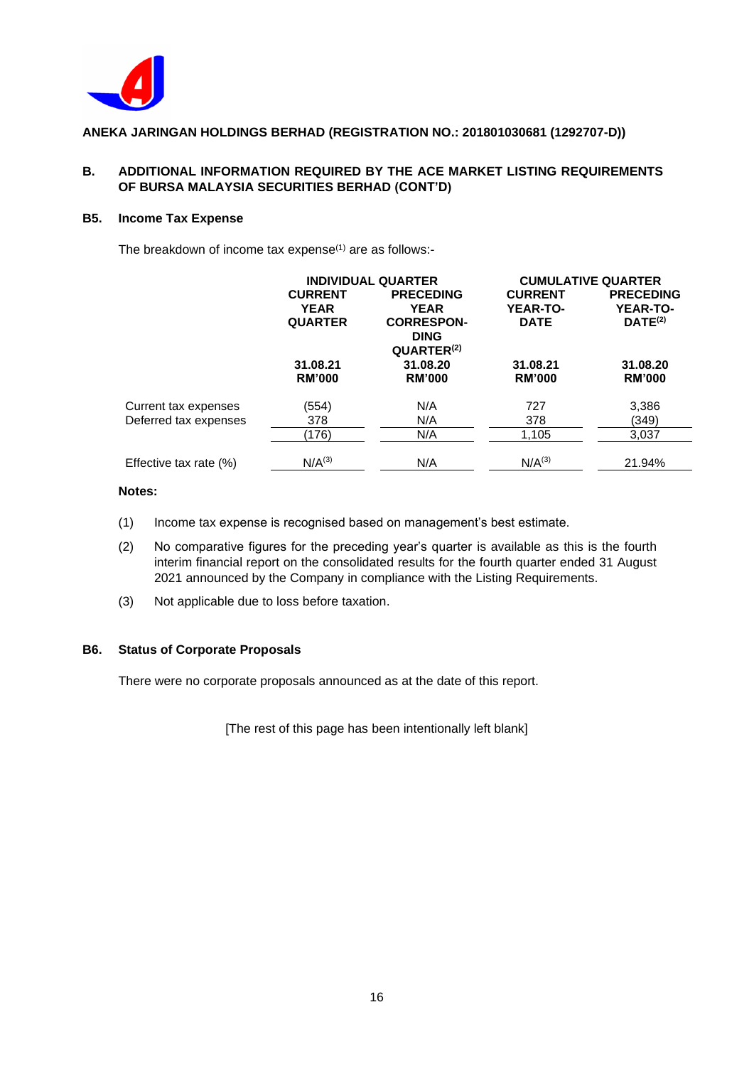

# **B. ADDITIONAL INFORMATION REQUIRED BY THE ACE MARKET LISTING REQUIREMENTS OF BURSA MALAYSIA SECURITIES BERHAD (CONT'D)**

## **B5. Income Tax Expense**

The breakdown of income tax expense<sup>(1)</sup> are as follows:-

|                                               | <b>INDIVIDUAL QUARTER</b>                       |                                                                     |                                                  | <b>CUMULATIVE QUARTER</b>                                  |
|-----------------------------------------------|-------------------------------------------------|---------------------------------------------------------------------|--------------------------------------------------|------------------------------------------------------------|
|                                               | <b>CURRENT</b><br><b>YEAR</b><br><b>QUARTER</b> | <b>PRECEDING</b><br><b>YEAR</b><br><b>CORRESPON-</b><br><b>DING</b> | <b>CURRENT</b><br><b>YEAR-TO-</b><br><b>DATE</b> | <b>PRECEDING</b><br><b>YEAR-TO-</b><br>DATE <sup>(2)</sup> |
|                                               | 31.08.21<br><b>RM'000</b>                       | QUARTER <sup>(2)</sup><br>31.08.20<br><b>RM'000</b>                 | 31.08.21<br><b>RM'000</b>                        | 31.08.20<br><b>RM'000</b>                                  |
| Current tax expenses<br>Deferred tax expenses | (554)<br>378                                    | N/A<br>N/A                                                          | 727<br>378                                       | 3,386<br>(349)                                             |
|                                               | (176)                                           | N/A                                                                 | 1,105                                            | 3,037                                                      |
| Effective tax rate (%)                        | N/A <sup>(3)</sup>                              | N/A                                                                 | $N/A^{(3)}$                                      | 21.94%                                                     |

# **Notes:**

- (1) Income tax expense is recognised based on management's best estimate.
- (2) No comparative figures for the preceding year's quarter is available as this is the fourth interim financial report on the consolidated results for the fourth quarter ended 31 August 2021 announced by the Company in compliance with the Listing Requirements.
- (3) Not applicable due to loss before taxation.

## **B6. Status of Corporate Proposals**

There were no corporate proposals announced as at the date of this report.

[The rest of this page has been intentionally left blank]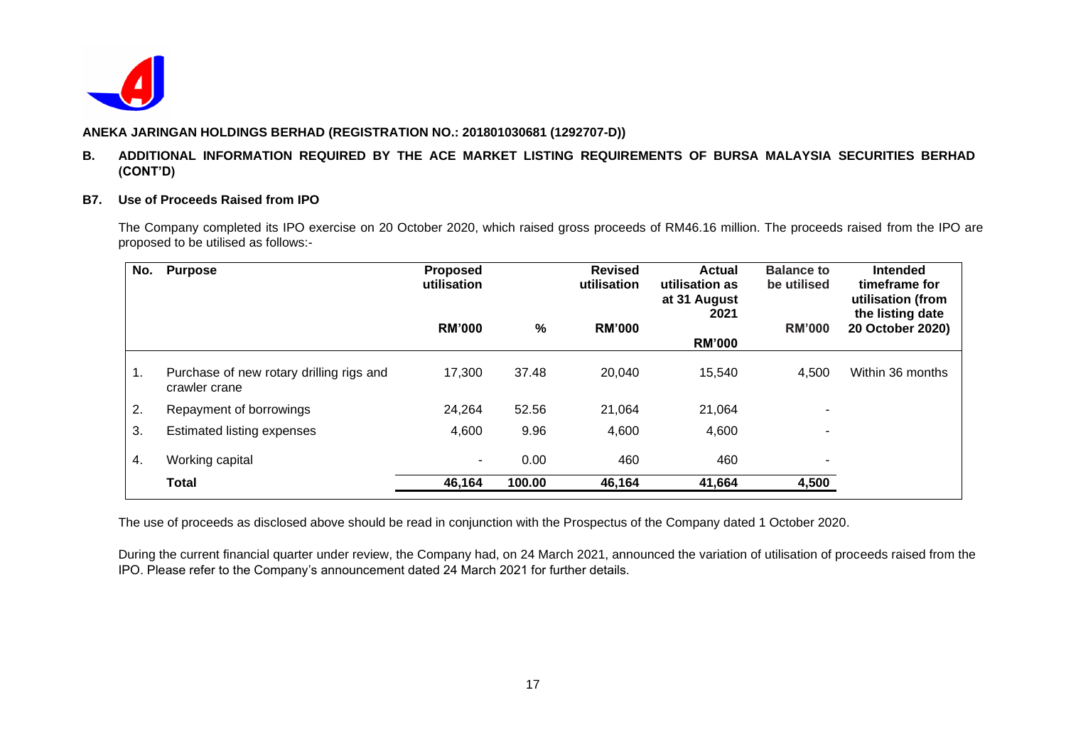

### **B. ADDITIONAL INFORMATION REQUIRED BY THE ACE MARKET LISTING REQUIREMENTS OF BURSA MALAYSIA SECURITIES BERHAD (CONT'D)**

#### **B7. Use of Proceeds Raised from IPO**

The Company completed its IPO exercise on 20 October 2020, which raised gross proceeds of RM46.16 million. The proceeds raised from the IPO are proposed to be utilised as follows:-

| No. | <b>Purpose</b>                                            | <b>Proposed</b><br>utilisation |        | <b>Revised</b><br>utilisation | <b>Actual</b><br>utilisation as<br>at 31 August<br>2021 | <b>Balance to</b><br>be utilised | <b>Intended</b><br>timeframe for<br>utilisation (from<br>the listing date |
|-----|-----------------------------------------------------------|--------------------------------|--------|-------------------------------|---------------------------------------------------------|----------------------------------|---------------------------------------------------------------------------|
|     |                                                           | <b>RM'000</b>                  | %      | <b>RM'000</b>                 | <b>RM'000</b>                                           | <b>RM'000</b>                    | 20 October 2020)                                                          |
| 1.  | Purchase of new rotary drilling rigs and<br>crawler crane | 17,300                         | 37.48  | 20,040                        | 15,540                                                  | 4,500                            | Within 36 months                                                          |
| 2.  | Repayment of borrowings                                   | 24,264                         | 52.56  | 21,064                        | 21,064                                                  | ۰                                |                                                                           |
| 3.  | <b>Estimated listing expenses</b>                         | 4,600                          | 9.96   | 4,600                         | 4,600                                                   | ۰                                |                                                                           |
| 4.  | Working capital                                           | $\sim$                         | 0.00   | 460                           | 460                                                     | ۰                                |                                                                           |
|     | <b>Total</b>                                              | 46,164                         | 100.00 | 46,164                        | 41,664                                                  | 4,500                            |                                                                           |

The use of proceeds as disclosed above should be read in conjunction with the Prospectus of the Company dated 1 October 2020.

During the current financial quarter under review, the Company had, on 24 March 2021, announced the variation of utilisation of proceeds raised from the IPO. Please refer to the Company's announcement dated 24 March 2021 for further details.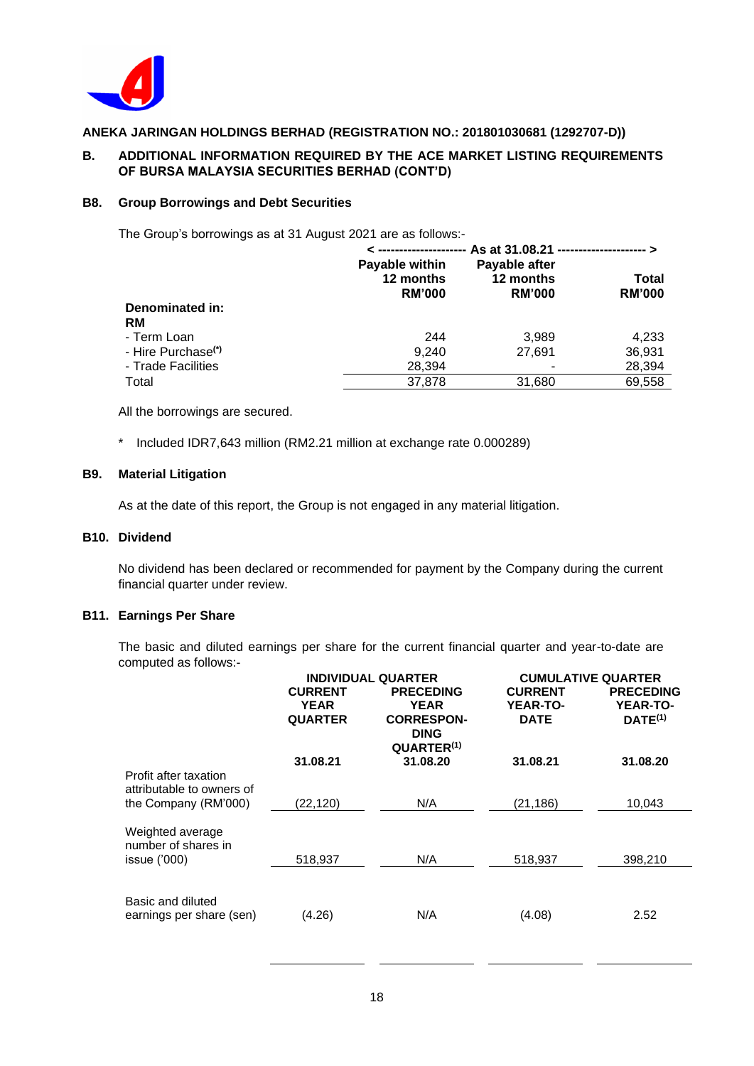

## **B. ADDITIONAL INFORMATION REQUIRED BY THE ACE MARKET LISTING REQUIREMENTS OF BURSA MALAYSIA SECURITIES BERHAD (CONT'D)**

#### **B8. Group Borrowings and Debt Securities**

The Group's borrowings as at 31 August 2021 are as follows:-

|                                | As at 31.08.21 ---------------------- ><br>________________ |                                             |                        |  |
|--------------------------------|-------------------------------------------------------------|---------------------------------------------|------------------------|--|
|                                | Payable within<br>12 months<br><b>RM'000</b>                | Payable after<br>12 months<br><b>RM'000</b> | Total<br><b>RM'000</b> |  |
| Denominated in:<br>RM          |                                                             |                                             |                        |  |
| - Term Loan                    | 244                                                         | 3.989                                       | 4.233                  |  |
| - Hire Purchase <sup>(*)</sup> | 9,240                                                       | 27.691                                      | 36,931                 |  |
| - Trade Facilities             | 28,394                                                      |                                             | 28,394                 |  |
| Total                          | 37,878                                                      | 31,680                                      | 69,558                 |  |

All the borrowings are secured.

\* Included IDR7,643 million (RM2.21 million at exchange rate 0.000289)

### **B9. Material Litigation**

As at the date of this report, the Group is not engaged in any material litigation.

#### **B10. Dividend**

No dividend has been declared or recommended for payment by the Company during the current financial quarter under review.

#### **B11. Earnings Per Share**

The basic and diluted earnings per share for the current financial quarter and year-to-date are computed as follows:-

|                                                                            | <b>INDIVIDUAL QUARTER</b>                       |                                                                                               | <b>CUMULATIVE QUARTER</b>                        |                                                     |  |
|----------------------------------------------------------------------------|-------------------------------------------------|-----------------------------------------------------------------------------------------------|--------------------------------------------------|-----------------------------------------------------|--|
|                                                                            | <b>CURRENT</b><br><b>YEAR</b><br><b>QUARTER</b> | <b>PRECEDING</b><br><b>YEAR</b><br><b>CORRESPON-</b><br><b>DING</b><br>QUARTER <sup>(1)</sup> | <b>CURRENT</b><br><b>YEAR-TO-</b><br><b>DATE</b> | <b>PRECEDING</b><br><b>YEAR-TO-</b><br>$DATE^{(1)}$ |  |
|                                                                            | 31.08.21                                        | 31.08.20                                                                                      | 31.08.21                                         | 31.08.20                                            |  |
| Profit after taxation<br>attributable to owners of<br>the Company (RM'000) | (22,120)                                        | N/A                                                                                           | (21, 186)                                        | 10,043                                              |  |
| Weighted average<br>number of shares in<br>issue $(000)$                   | 518,937                                         | N/A                                                                                           | 518,937                                          | 398,210                                             |  |
|                                                                            |                                                 |                                                                                               |                                                  |                                                     |  |
| Basic and diluted<br>earnings per share (sen)                              | (4.26)                                          | N/A                                                                                           | (4.08)                                           | 2.52                                                |  |